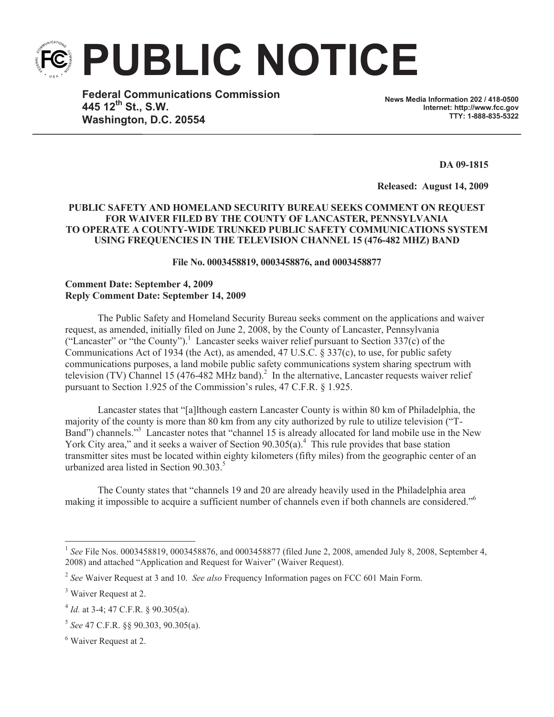**PUBLIC NOTICE**

**Federal Communications Commission 445 12th St., S.W. Washington, D.C. 20554**

**News Media Information 202 / 418-0500 Internet: http://www.fcc.gov TTY: 1-888-835-5322**

**DA 09-1815**

**Released: August 14, 2009**

## **PUBLIC SAFETY AND HOMELAND SECURITY BUREAU SEEKS COMMENT ON REQUEST FOR WAIVER FILED BY THE COUNTY OF LANCASTER, PENNSYLVANIA TO OPERATE A COUNTY-WIDE TRUNKED PUBLIC SAFETY COMMUNICATIONS SYSTEM USING FREQUENCIES IN THE TELEVISION CHANNEL 15 (476-482 MHZ) BAND**

**File No. 0003458819, 0003458876, and 0003458877**

## **Comment Date: September 4, 2009 Reply Comment Date: September 14, 2009**

The Public Safety and Homeland Security Bureau seeks comment on the applications and waiver request, as amended, initially filed on June 2, 2008, by the County of Lancaster, Pennsylvania ("Lancaster" or "the County").<sup>1</sup> Lancaster seeks waiver relief pursuant to Section 337(c) of the Communications Act of 1934 (the Act), as amended, 47 U.S.C. § 337(c), to use, for public safety communications purposes, a land mobile public safety communications system sharing spectrum with television (TV) Channel 15 (476-482 MHz band).<sup>2</sup> In the alternative, Lancaster requests waiver relief pursuant to Section 1.925 of the Commission's rules, 47 C.F.R. § 1.925.

Lancaster states that "[a]lthough eastern Lancaster County is within 80 km of Philadelphia, the majority of the county is more than 80 km from any city authorized by rule to utilize television ("T-Band") channels."<sup>3</sup> Lancaster notes that "channel 15 is already allocated for land mobile use in the New York City area," and it seeks a waiver of Section 90.305(a).<sup>4</sup> This rule provides that base station transmitter sites must be located within eighty kilometers (fifty miles) from the geographic center of an urbanized area listed in Section  $90.303<sup>5</sup>$ 

The County states that "channels 19 and 20 are already heavily used in the Philadelphia area making it impossible to acquire a sufficient number of channels even if both channels are considered."<sup>6</sup>

<sup>&</sup>lt;sup>1</sup> See File Nos. 0003458819, 0003458876, and 0003458877 (filed June 2, 2008, amended July 8, 2008, September 4, 2008) and attached "Application and Request for Waiver" (Waiver Request).

<sup>2</sup> *See* Waiver Request at 3 and 10. *See also* Frequency Information pages on FCC 601 Main Form.

<sup>&</sup>lt;sup>3</sup> Waiver Request at 2.

<sup>&</sup>lt;sup>4</sup> *Id.* at 3-4; 47 C.F.R. § 90.305(a).

<sup>5</sup> *See* 47 C.F.R. §§ 90.303, 90.305(a).

<sup>6</sup> Waiver Request at 2.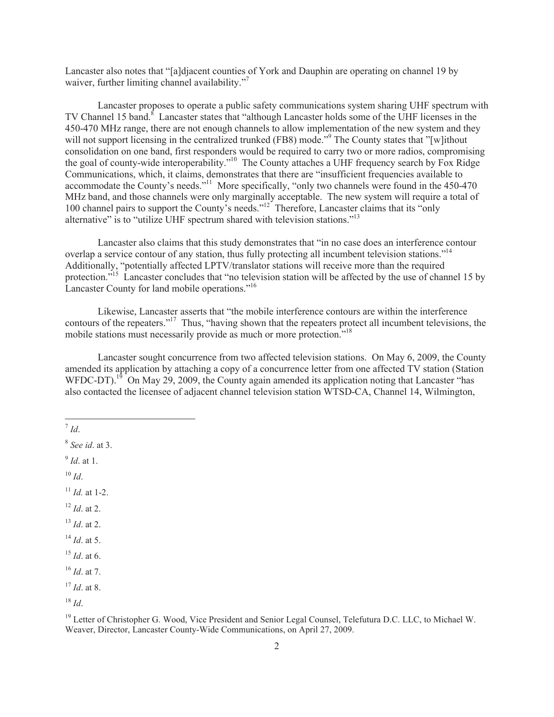Lancaster also notes that "[a]djacent counties of York and Dauphin are operating on channel 19 by waiver, further limiting channel availability."

Lancaster proposes to operate a public safety communications system sharing UHF spectrum with TV Channel 15 band.<sup>8</sup> Lancaster states that "although Lancaster holds some of the UHF licenses in the 450-470 MHz range, there are not enough channels to allow implementation of the new system and they will not support licensing in the centralized trunked (FB8) mode."<sup>9</sup> The County states that "[w]ithout consolidation on one band, first responders would be required to carry two or more radios, compromising the goal of county-wide interoperability."<sup>10</sup> The County attaches a UHF frequency search by Fox Ridge Communications, which, it claims, demonstrates that there are "insufficient frequencies available to accommodate the County's needs."<sup>11</sup> More specifically, "only two channels were found in the 450-470 MHz band, and those channels were only marginally acceptable. The new system will require a total of 100 channel pairs to support the County's needs."<sup>12</sup> Therefore, Lancaster claims that its "only" alternative" is to "utilize UHF spectrum shared with television stations."<sup>13</sup>

Lancaster also claims that this study demonstrates that "in no case does an interference contour overlap a service contour of any station, thus fully protecting all incumbent television stations."<sup>14</sup> Additionally, "potentially affected LPTV/translator stations will receive more than the required protection."<sup>15</sup> Lancaster concludes that "no television station will be affected by the use of channel 15 by Lancaster County for land mobile operations."<sup>16</sup>

Likewise, Lancaster asserts that "the mobile interference contours are within the interference contours of the repeaters."<sup>17</sup> Thus, "having shown that the repeaters protect all incumbent televisions, the mobile stations must necessarily provide as much or more protection.<sup>"18</sup>

Lancaster sought concurrence from two affected television stations. On May 6, 2009, the County amended its application by attaching a copy of a concurrence letter from one affected TV station (Station WFDC-DT).<sup>19</sup> On May 29, 2009, the County again amended its application noting that Lancaster "has also contacted the licensee of adjacent channel television station WTSD-CA, Channel 14, Wilmington,

7 *Id*.

8 *See id*. at 3.

9 *Id*. at 1.

 $10$  *Id*.

- $11$  *Id.* at 1-2.
- $12$  *Id.* at 2.
- <sup>13</sup> *Id*. at 2.
- <sup>14</sup> *Id*. at 5.
- <sup>15</sup> *Id*. at 6.
- <sup>16</sup> *Id*. at 7.

<sup>17</sup> *Id*. at 8.

<sup>18</sup> *Id*.

<sup>&</sup>lt;sup>19</sup> Letter of Christopher G. Wood, Vice President and Senior Legal Counsel, Telefutura D.C. LLC, to Michael W. Weaver, Director, Lancaster County-Wide Communications, on April 27, 2009.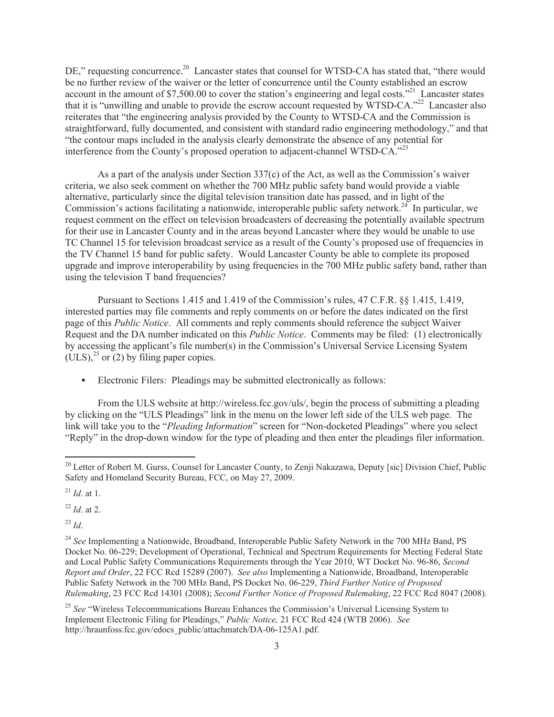DE," requesting concurrence.<sup>20</sup> Lancaster states that counsel for WTSD-CA has stated that, "there would be no further review of the waiver or the letter of concurrence until the County established an escrow account in the amount of \$7,500.00 to cover the station's engineering and legal costs."<sup>21</sup> Lancaster states that it is "unwilling and unable to provide the escrow account requested by WTSD-CA."<sup>22</sup> Lancaster also reiterates that "the engineering analysis provided by the County to WTSD-CA and the Commission is straightforward, fully documented, and consistent with standard radio engineering methodology," and that "the contour maps included in the analysis clearly demonstrate the absence of any potential for interference from the County's proposed operation to adjacent-channel WTSD-CA."<sup>23</sup>

As a part of the analysis under Section 337(c) of the Act, as well as the Commission's waiver criteria, we also seek comment on whether the 700 MHz public safety band would provide a viable alternative, particularly since the digital television transition date has passed, and in light of the Commission's actions facilitating a nationwide, interoperable public safety network.<sup>24</sup> In particular, we request comment on the effect on television broadcasters of decreasing the potentially available spectrum for their use in Lancaster County and in the areas beyond Lancaster where they would be unable to use TC Channel 15 for television broadcast service as a result of the County's proposed use of frequencies in the TV Channel 15 band for public safety. Would Lancaster County be able to complete its proposed upgrade and improve interoperability by using frequencies in the 700 MHz public safety band, rather than using the television T band frequencies?

Pursuant to Sections 1.415 and 1.419 of the Commission's rules, 47 C.F.R. §§ 1.415, 1.419, interested parties may file comments and reply comments on or before the dates indicated on the first page of this *Public Notice*. All comments and reply comments should reference the subject Waiver Request and the DA number indicated on this *Public Notice*. Comments may be filed: (1) electronically by accessing the applicant's file number(s) in the Commission's Universal Service Licensing System  $(ULS)<sup>25</sup>$  or (2) by filing paper copies.

• Electronic Filers: Pleadings may be submitted electronically as follows:

From the ULS website at http://wireless.fcc.gov/uls/, begin the process of submitting a pleading by clicking on the "ULS Pleadings" link in the menu on the lower left side of the ULS web page. The link will take you to the "*Pleading Information*" screen for "Non-docketed Pleadings" where you select "Reply" in the drop-down window for the type of pleading and then enter the pleadings filer information.

<sup>22</sup> *Id*. at 2.

<sup>23</sup> *Id*.

<sup>&</sup>lt;sup>20</sup> Letter of Robert M. Gurss, Counsel for Lancaster County, to Zenji Nakazawa, Deputy [sic] Division Chief, Public Safety and Homeland Security Bureau, FCC, on May 27, 2009.

<sup>21</sup> *Id*. at 1.

<sup>&</sup>lt;sup>24</sup> See Implementing a Nationwide, Broadband, Interoperable Public Safety Network in the 700 MHz Band, PS Docket No. 06-229; Development of Operational, Technical and Spectrum Requirements for Meeting Federal State and Local Public Safety Communications Requirements through the Year 2010, WT Docket No. 96-86, *Second Report and Order*, 22 FCC Rcd 15289 (2007). *See also* Implementing a Nationwide, Broadband, Interoperable Public Safety Network in the 700 MHz Band, PS Docket No. 06-229, *Third Further Notice of Proposed Rulemaking*, 23 FCC Rcd 14301 (2008); *Second Further Notice of Proposed Rulemaking*, 22 FCC Rcd 8047 (2008).

<sup>&</sup>lt;sup>25</sup> See "Wireless Telecommunications Bureau Enhances the Commission's Universal Licensing System to Implement Electronic Filing for Pleadings," *Public Notice,* 21 FCC Rcd 424 (WTB 2006). *See*  http://hraunfoss.fcc.gov/edocs\_public/attachmatch/DA-06-125A1.pdf.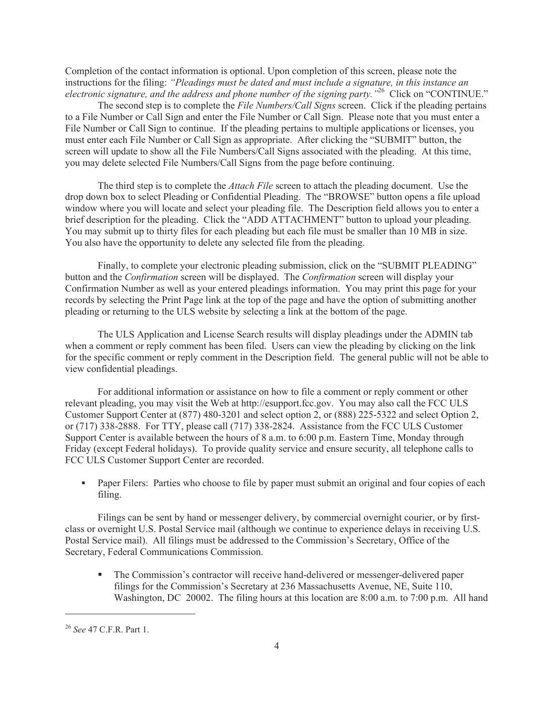Completion of the contact information is optional. Upon completion of this screen, please note the instructions for the filing: *"Pleadings must be dated and must include a signature, in this instance an electronic signature, and the address and phone number of the signing party."*<sup>26</sup> Click on "CONTINUE."

The second step is to complete the *File Numbers/Call Signs* screen. Click if the pleading pertains to a File Number or Call Sign and enter the File Number or Call Sign. Please note that you must enter a File Number or Call Sign to continue. If the pleading pertains to multiple applications or licenses, you must enter each File Number or Call Sign as appropriate. After clicking the "SUBMIT" button, the screen will update to show all the File Numbers/Call Signs associated with the pleading. At this time, you may delete selected File Numbers/Call Signs from the page before continuing.

The third step is to complete the *Attach File* screen to attach the pleading document. Use the drop down box to select Pleading or Confidential Pleading. The "BROWSE" button opens a file upload window where you will locate and select your pleading file. The Description field allows you to enter a brief description for the pleading. Click the "ADD ATTACHMENT" button to upload your pleading. You may submit up to thirty files for each pleading but each file must be smaller than 10 MB in size. You also have the opportunity to delete any selected file from the pleading.

Finally, to complete your electronic pleading submission, click on the "SUBMIT PLEADING" button and the *Confirmation* screen will be displayed. The *Confirmation* screen will display your Confirmation Number as well as your entered pleadings information. You may print this page for your records by selecting the Print Page link at the top of the page and have the option of submitting another pleading or returning to the ULS website by selecting a link at the bottom of the page.

The ULS Application and License Search results will display pleadings under the ADMIN tab when a comment or reply comment has been filed. Users can view the pleading by clicking on the link for the specific comment or reply comment in the Description field. The general public will not be able to view confidential pleadings.

For additional information or assistance on how to file a comment or reply comment or other relevant pleading, you may visit the Web at http://esupport.fcc.gov. You may also call the FCC ULS Customer Support Center at (877) 480-3201 and select option 2, or (888) 225-5322 and select Option 2, or (717) 338-2888. For TTY, please call (717) 338-2824. Assistance from the FCC ULS Customer Support Center is available between the hours of 8 a.m. to 6:00 p.m. Eastern Time, Monday through Friday (except Federal holidays). To provide quality service and ensure security, all telephone calls to FCC ULS Customer Support Center are recorded.

• Paper Filers: Parties who choose to file by paper must submit an original and four copies of each filing.

Filings can be sent by hand or messenger delivery, by commercial overnight courier, or by firstclass or overnight U.S. Postal Service mail (although we continue to experience delays in receiving U.S. Postal Service mail). All filings must be addressed to the Commission's Secretary, Office of the Secretary, Federal Communications Commission.

• The Commission's contractor will receive hand-delivered or messenger-delivered paper filings for the Commission's Secretary at 236 Massachusetts Avenue, NE, Suite 110, Washington, DC 20002. The filing hours at this location are 8:00 a.m. to 7:00 p.m. All hand

<sup>26</sup> *See* 47 C.F.R. Part 1.